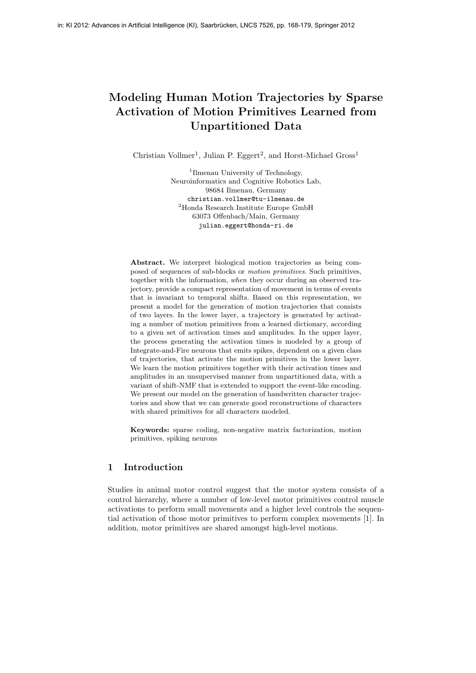# Modeling Human Motion Trajectories by Sparse Activation of Motion Primitives Learned from Unpartitioned Data

Christian Vollmer<sup>1</sup>, Julian P. Eggert<sup>2</sup>, and Horst-Michael Gross<sup>1</sup>

1 Ilmenau University of Technology, Neuroinformatics and Cognitive Robotics Lab, 98684 Ilmenau, Germany christian.vollmer@tu-ilmenau.de  $^2\mathrm{Honda}$ Research Institute Europe GmbH 63073 Offenbach/Main, Germany julian.eggert@honda-ri.de

Abstract. We interpret biological motion trajectories as being composed of sequences of sub-blocks or motion primitives. Such primitives, together with the information, when they occur during an observed trajectory, provide a compact representation of movement in terms of events that is invariant to temporal shifts. Based on this representation, we present a model for the generation of motion trajectories that consists of two layers. In the lower layer, a trajectory is generated by activating a number of motion primitives from a learned dictionary, according to a given set of activation times and amplitudes. In the upper layer, the process generating the activation times is modeled by a group of Integrate-and-Fire neurons that emits spikes, dependent on a given class of trajectories, that activate the motion primitives in the lower layer. We learn the motion primitives together with their activation times and amplitudes in an unsupervised manner from unpartitioned data, with a variant of shift-NMF that is extended to support the event-like encoding. We present our model on the generation of handwritten character trajectories and show that we can generate good reconstructions of characters with shared primitives for all characters modeled.

Keywords: sparse coding, non-negative matrix factorization, motion primitives, spiking neurons

## 1 Introduction

Studies in animal motor control suggest that the motor system consists of a control hierarchy, where a number of low-level motor primitives control muscle activations to perform small movements and a higher level controls the sequential activation of those motor primitives to perform complex movements [1]. In addition, motor primitives are shared amongst high-level motions.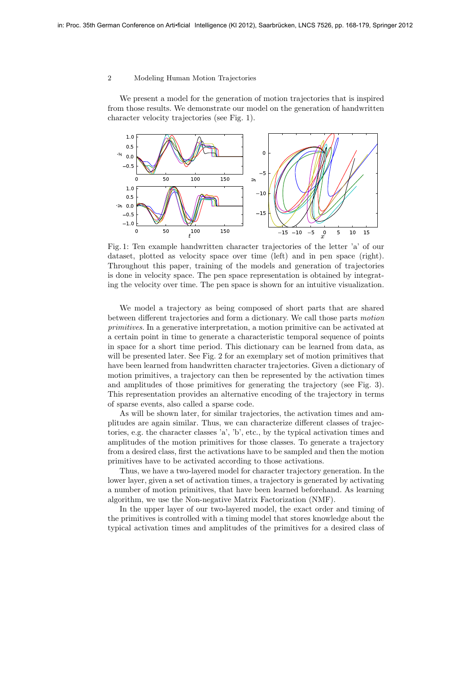We present a model for the generation of motion trajectories that is inspired from those results. We demonstrate our model on the generation of handwritten character velocity trajectories (see Fig. 1).



Fig. 1: Ten example handwritten character trajectories of the letter 'a' of our dataset, plotted as velocity space over time (left) and in pen space (right). Throughout this paper, training of the models and generation of trajectories is done in velocity space. The pen space representation is obtained by integrating the velocity over time. The pen space is shown for an intuitive visualization.

We model a trajectory as being composed of short parts that are shared between different trajectories and form a dictionary. We call those parts motion primitives. In a generative interpretation, a motion primitive can be activated at a certain point in time to generate a characteristic temporal sequence of points in space for a short time period. This dictionary can be learned from data, as will be presented later. See Fig. 2 for an exemplary set of motion primitives that have been learned from handwritten character trajectories. Given a dictionary of motion primitives, a trajectory can then be represented by the activation times and amplitudes of those primitives for generating the trajectory (see Fig. 3). This representation provides an alternative encoding of the trajectory in terms of sparse events, also called a sparse code.

As will be shown later, for similar trajectories, the activation times and amplitudes are again similar. Thus, we can characterize different classes of trajectories, e.g. the character classes 'a', 'b', etc., by the typical activation times and amplitudes of the motion primitives for those classes. To generate a trajectory from a desired class, first the activations have to be sampled and then the motion primitives have to be activated according to those activations.

Thus, we have a two-layered model for character trajectory generation. In the lower layer, given a set of activation times, a trajectory is generated by activating a number of motion primitives, that have been learned beforehand. As learning algorithm, we use the Non-negative Matrix Factorization (NMF).

In the upper layer of our two-layered model, the exact order and timing of the primitives is controlled with a timing model that stores knowledge about the typical activation times and amplitudes of the primitives for a desired class of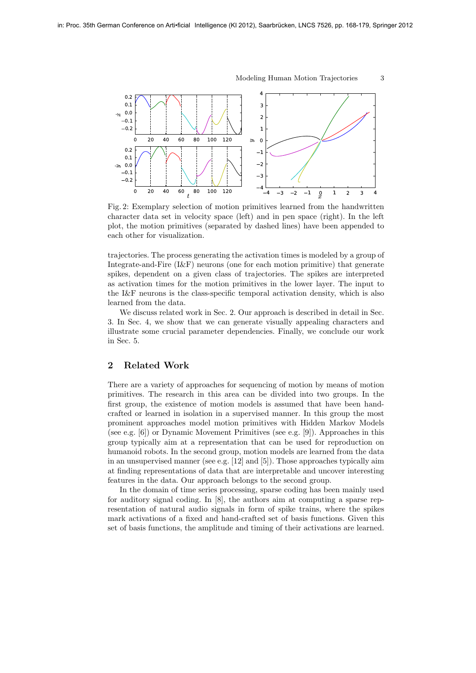

Fig. 2: Exemplary selection of motion primitives learned from the handwritten character data set in velocity space (left) and in pen space (right). In the left plot, the motion primitives (separated by dashed lines) have been appended to each other for visualization.

trajectories. The process generating the activation times is modeled by a group of Integrate-and-Fire (I&F) neurons (one for each motion primitive) that generate spikes, dependent on a given class of trajectories. The spikes are interpreted as activation times for the motion primitives in the lower layer. The input to the I&F neurons is the class-specific temporal activation density, which is also learned from the data.

We discuss related work in Sec. 2. Our approach is described in detail in Sec. 3. In Sec. 4, we show that we can generate visually appealing characters and illustrate some crucial parameter dependencies. Finally, we conclude our work in Sec. 5.

## 2 Related Work

There are a variety of approaches for sequencing of motion by means of motion primitives. The research in this area can be divided into two groups. In the first group, the existence of motion models is assumed that have been handcrafted or learned in isolation in a supervised manner. In this group the most prominent approaches model motion primitives with Hidden Markov Models (see e.g. [6]) or Dynamic Movement Primitives (see e.g. [9]). Approaches in this group typically aim at a representation that can be used for reproduction on humanoid robots. In the second group, motion models are learned from the data in an unsupervised manner (see e.g.  $[12]$  and  $[5]$ ). Those approaches typically aim at finding representations of data that are interpretable and uncover interesting features in the data. Our approach belongs to the second group.

In the domain of time series processing, sparse coding has been mainly used for auditory signal coding. In [8], the authors aim at computing a sparse representation of natural audio signals in form of spike trains, where the spikes mark activations of a fixed and hand-crafted set of basis functions. Given this set of basis functions, the amplitude and timing of their activations are learned.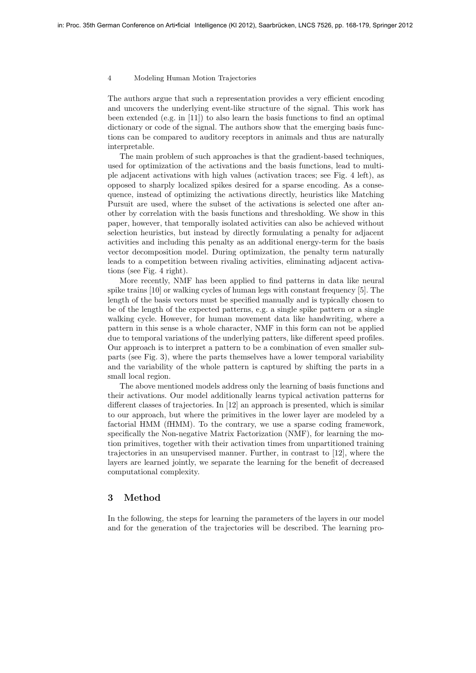The authors argue that such a representation provides a very efficient encoding and uncovers the underlying event-like structure of the signal. This work has been extended (e.g. in [11]) to also learn the basis functions to find an optimal dictionary or code of the signal. The authors show that the emerging basis functions can be compared to auditory receptors in animals and thus are naturally interpretable.

The main problem of such approaches is that the gradient-based techniques, used for optimization of the activations and the basis functions, lead to multiple adjacent activations with high values (activation traces; see Fig. 4 left), as opposed to sharply localized spikes desired for a sparse encoding. As a consequence, instead of optimizing the activations directly, heuristics like Matching Pursuit are used, where the subset of the activations is selected one after another by correlation with the basis functions and thresholding. We show in this paper, however, that temporally isolated activities can also be achieved without selection heuristics, but instead by directly formulating a penalty for adjacent activities and including this penalty as an additional energy-term for the basis vector decomposition model. During optimization, the penalty term naturally leads to a competition between rivaling activities, eliminating adjacent activations (see Fig. 4 right).

More recently, NMF has been applied to find patterns in data like neural spike trains [10] or walking cycles of human legs with constant frequency [5]. The length of the basis vectors must be specified manually and is typically chosen to be of the length of the expected patterns, e.g. a single spike pattern or a single walking cycle. However, for human movement data like handwriting, where a pattern in this sense is a whole character, NMF in this form can not be applied due to temporal variations of the underlying patters, like different speed profiles. Our approach is to interpret a pattern to be a combination of even smaller subparts (see Fig. 3), where the parts themselves have a lower temporal variability and the variability of the whole pattern is captured by shifting the parts in a small local region.

The above mentioned models address only the learning of basis functions and their activations. Our model additionally learns typical activation patterns for different classes of trajectories. In [12] an approach is presented, which is similar to our approach, but where the primitives in the lower layer are modeled by a factorial HMM (fHMM). To the contrary, we use a sparse coding framework, specifically the Non-negative Matrix Factorization (NMF), for learning the motion primitives, together with their activation times from unpartitioned training trajectories in an unsupervised manner. Further, in contrast to [12], where the layers are learned jointly, we separate the learning for the benefit of decreased computational complexity.

## 3 Method

In the following, the steps for learning the parameters of the layers in our model and for the generation of the trajectories will be described. The learning pro-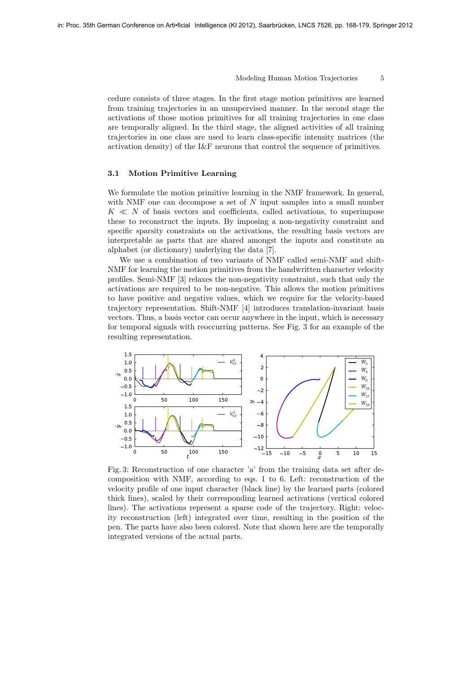cedure consists of three stages. In the first stage motion primitives are learned from training trajectories in an unsupervised manner. In the second stage the activations of those motion primitives for all training trajectories in one class are temporally aligned. In the third stage, the aligned activities of all training trajectories in one class are used to learn class-specific intensity matrices (the activation density) of the I&F neurons that control the sequence of primitives.

## 3.1 Motion Primitive Learning

We formulate the motion primitive learning in the NMF framework. In general, with NMF one can decompose a set of  $N$  input samples into a small number  $K \ll N$  of basis vectors and coefficients, called activations, to superimpose these to reconstruct the inputs. By imposing a non-negativity constraint and specific sparsity constraints on the activations, the resulting basis vectors are interpretable as parts that are shared amongst the inputs and constitute an alphabet (or dictionary) underlying the data [7].

We use a combination of two variants of NMF called semi-NMF and shift-NMF for learning the motion primitives from the handwritten character velocity profiles. Semi-NMF [3] relaxes the non-negativity constraint, such that only the activations are required to be non-negative. This allows the motion primitives to have positive and negative values, which we require for the velocity-based trajectory representation. Shift-NMF [4] introduces translation-invariant basis vectors. Thus, a basis vector can occur anywhere in the input, which is necessary for temporal signals with reoccurring patterns. See Fig. 3 for an example of the resulting representation.



Fig. 3: Reconstruction of one character 'a' from the training data set after decomposition with NMF, according to eqs. 1 to 6. Left: reconstruction of the velocity profile of one input character (black line) by the learned parts (colored thick lines), scaled by their corresponding learned activations (vertical colored lines). The activations represent a sparse code of the trajectory. Right: velocity reconstruction (left) integrated over time, resulting in the position of the pen. The parts have also been colored. Note that shown here are the temporally integrated versions of the actual parts.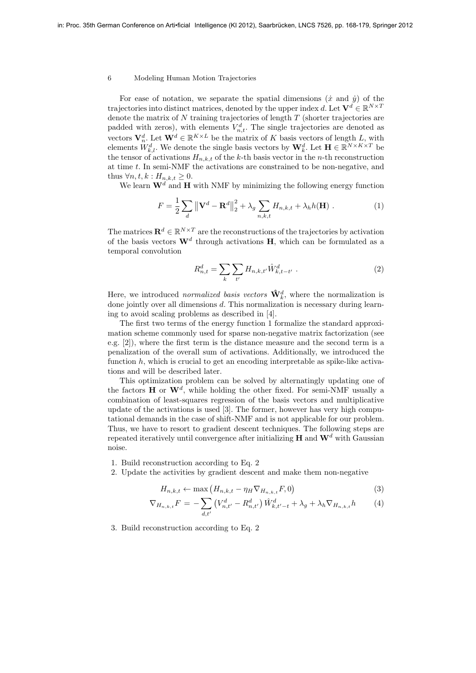For ease of notation, we separate the spatial dimensions  $(\dot{x}$  and  $\dot{y})$  of the trajectories into distinct matrices, denoted by the upper index d. Let  $V^d \in \mathbb{R}^{N \times T}$ denote the matrix of  $N$  training trajectories of length  $T$  (shorter trajectories are padded with zeros), with elements  $V_{n,t}^d$ . The single trajectories are denoted as vectors  $\mathbf{V}_n^d$ . Let  $\mathbf{W}^d \in \mathbb{R}^{K \times L}$  be the matrix of K basis vectors of length L, with elements  $\widetilde{W}_{k,l}^d$ . We denote the single basis vectors by  $\mathbf{W}_k^d$ . Let  $\mathbf{H} \in \mathbb{R}^{N \times K \times T}$  be the tensor of activations  $H_{n,k,t}$  of the k-th basis vector in the n-th reconstruction at time  $t$ . In semi-NMF the activations are constrained to be non-negative, and thus  $\forall n, t, k : H_{n,k,t} \geq 0$ .

We learn  $\mathbf{W}^d$  and **H** with NMF by minimizing the following energy function

$$
F = \frac{1}{2} \sum_{d} \left\| \mathbf{V}^d - \mathbf{R}^d \right\|_2^2 + \lambda_g \sum_{n,k,t} H_{n,k,t} + \lambda_h h(\mathbf{H}) . \tag{1}
$$

The matrices  $\mathbf{R}^d \in \mathbb{R}^{N \times T}$  are the reconstructions of the trajectories by activation of the basis vectors  $\mathbf{W}^{d}$  through activations **H**, which can be formulated as a temporal convolution

$$
R_{n,t}^d = \sum_k \sum_{t'} H_{n,k,t'} \hat{W}_{k,t-t'}^d \ . \tag{2}
$$

Here, we introduced *normalized basis vectors*  $\hat{\mathbf{W}}_k^d$ , where the normalization is done jointly over all dimensions  $d$ . This normalization is necessary during learning to avoid scaling problems as described in [4].

The first two terms of the energy function 1 formalize the standard approximation scheme commonly used for sparse non-negative matrix factorization (see e.g. [2]), where the first term is the distance measure and the second term is a penalization of the overall sum of activations. Additionally, we introduced the function  $h$ , which is crucial to get an encoding interpretable as spike-like activations and will be described later.

This optimization problem can be solved by alternatingly updating one of the factors **H** or  $\mathbf{W}^{d}$ , while holding the other fixed. For semi-NMF usually a combination of least-squares regression of the basis vectors and multiplicative update of the activations is used [3]. The former, however has very high computational demands in the case of shift-NMF and is not applicable for our problem. Thus, we have to resort to gradient descent techniques. The following steps are repeated iteratively until convergence after initializing  $H$  and  $W<sup>d</sup>$  with Gaussian noise.

- 1. Build reconstruction according to Eq. 2
- 2. Update the activities by gradient descent and make them non-negative

$$
H_{n,k,t} \leftarrow \max\left(H_{n,k,t} - \eta_H \nabla_{H_{n,k,t}} F, 0\right) \tag{3}
$$

$$
\nabla_{H_{n,k,t}} F = -\sum_{d,t'} \left( V_{n,t'}^d - R_{n,t'}^d \right) \hat{W}_{k,t'-t}^d + \lambda_g + \lambda_h \nabla_{H_{n,k,t}} h \tag{4}
$$

3. Build reconstruction according to Eq. 2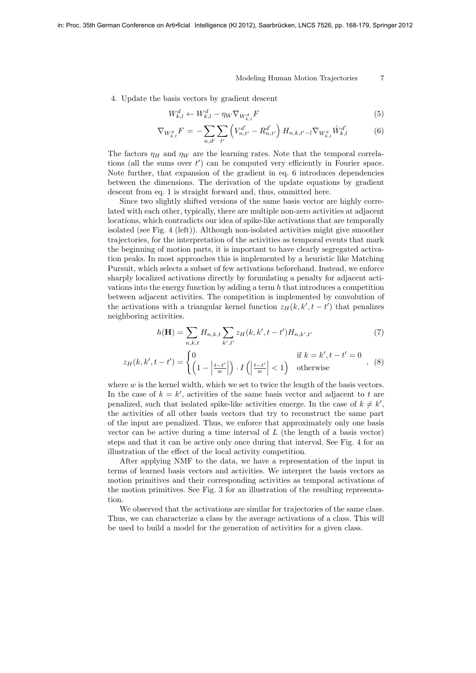4. Update the basis vectors by gradient descent

$$
W_{k,l}^d \leftarrow W_{k,l}^d - \eta_W \nabla_{W_{k,l}^d} F
$$
\n
$$
\tag{5}
$$

$$
\nabla_{W_{k,l}^d} F = -\sum_{n,d'} \sum_{t'} \left( V_{n,t'}^{d'} - R_{n,t'}^{d'} \right) H_{n,k,t'-l} \nabla_{W_{k,l}^d} \hat{W}_{k,l}^{d'} \tag{6}
$$

The factors  $\eta_H$  and  $\eta_W$  are the learning rates. Note that the temporal correlations (all the sums over  $t'$ ) can be computed very efficiently in Fourier space. Note further, that expansion of the gradient in eq. 6 introduces dependencies between the dimensions. The derivation of the update equations by gradient descent from eq. 1 is straight forward and, thus, ommitted here.

Since two slightly shifted versions of the same basis vector are highly correlated with each other, typically, there are multiple non-zero activities at adjacent locations, which contradicts our idea of spike-like activations that are temporally isolated (see Fig. 4 (left)). Although non-isolated activities might give smoother trajectories, for the interpretation of the activities as temporal events that mark the beginning of motion parts, it is important to have clearly segregated activation peaks. In most approaches this is implemented by a heuristic like Matching Pursuit, which selects a subset of few activations beforehand. Instead, we enforce sharply localized activations directly by formulating a penalty for adjacent activations into the energy function by adding a term  $h$  that introduces a competition between adjacent activities. The competition is implemented by convolution of the activations with a triangular kernel function  $z_H(k, k', t - t')$  that penalizes neighboring activities.

$$
h(\mathbf{H}) = \sum_{n,k,t} H_{n,k,t} \sum_{k',t'} z_H(k,k',t-t') H_{n,k',t'} \tag{7}
$$

$$
z_H(k, k', t - t') = \begin{cases} 0 & \text{if } k = k', t - t' = 0 \\ \left(1 - \left|\frac{t - t'}{w}\right|\right) \cdot I\left(\left|\frac{t - t'}{w}\right| < 1\right) & \text{otherwise} \end{cases}, \tag{8}
$$

where  $w$  is the kernel width, which we set to twice the length of the basis vectors. In the case of  $k = k'$ , activities of the same basis vector and adjacent to t are penalized, such that isolated spike-like activities emerge. In the case of  $k \neq k'$ , the activities of all other basis vectors that try to reconstruct the same part of the input are penalized. Thus, we enforce that approximately only one basis vector can be active during a time interval of  $L$  (the length of a basis vector) steps and that it can be active only once during that interval. See Fig. 4 for an illustration of the effect of the local activity competition.

After applying NMF to the data, we have a representation of the input in terms of learned basis vectors and activities. We interpret the basis vectors as motion primitives and their corresponding activities as temporal activations of the motion primitives. See Fig. 3 for an illustration of the resulting representation.

We observed that the activations are similar for trajectories of the same class. Thus, we can characterize a class by the average activations of a class. This will be used to build a model for the generation of activities for a given class.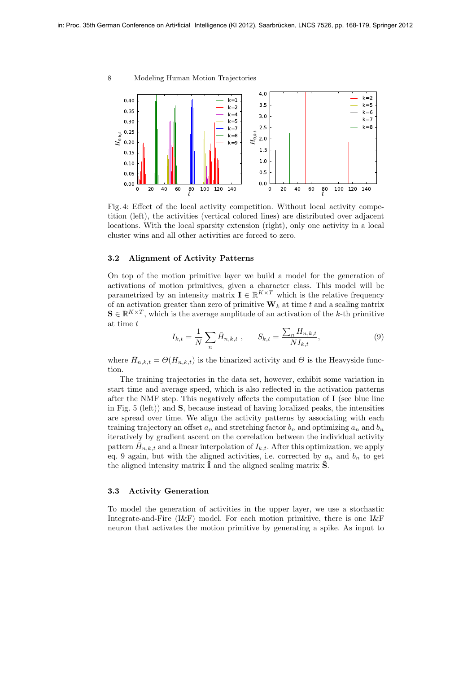

Fig. 4: Effect of the local activity competition. Without local activity competition (left), the activities (vertical colored lines) are distributed over adjacent locations. With the local sparsity extension (right), only one activity in a local cluster wins and all other activities are forced to zero.

## 3.2 Alignment of Activity Patterns

On top of the motion primitive layer we build a model for the generation of activations of motion primitives, given a character class. This model will be parametrized by an intensity matrix  $\mathbf{I} \in \mathbb{R}^{K \times T}$  which is the relative frequency of an activation greater than zero of primitive  $W_k$  at time t and a scaling matrix  $\mathbf{S} \in \mathbb{R}^{K \times T}$ , which is the average amplitude of an activation of the k-th primitive at time t

$$
I_{k,t} = \frac{1}{N} \sum_{n} \bar{H}_{n,k,t} , \qquad S_{k,t} = \frac{\sum_{n} H_{n,k,t}}{N I_{k,t}}, \tag{9}
$$

where  $\bar{H}_{n,k,t} = \Theta(H_{n,k,t})$  is the binarized activity and  $\Theta$  is the Heavyside function.

The training trajectories in the data set, however, exhibit some variation in start time and average speed, which is also reflected in the activation patterns after the NMF step. This negatively affects the computation of I (see blue line in Fig. 5 (left)) and S, because instead of having localized peaks, the intensities are spread over time. We align the activity patterns by associating with each training trajectory an offset  $a_n$  and stretching factor  $b_n$  and optimizing  $a_n$  and  $b_n$ iteratively by gradient ascent on the correlation between the individual activity pattern  $\check{H}_{n,k,t}$  and a linear interpolation of  $I_{k,t}$ . After this optimization, we apply eq. 9 again, but with the aligned activities, i.e. corrected by  $a_n$  and  $b_n$  to get the aligned intensity matrix  $\hat{\mathbf{I}}$  and the aligned scaling matrix  $\hat{\mathbf{S}}$ .

## 3.3 Activity Generation

To model the generation of activities in the upper layer, we use a stochastic Integrate-and-Fire (I&F) model. For each motion primitive, there is one I&F neuron that activates the motion primitive by generating a spike. As input to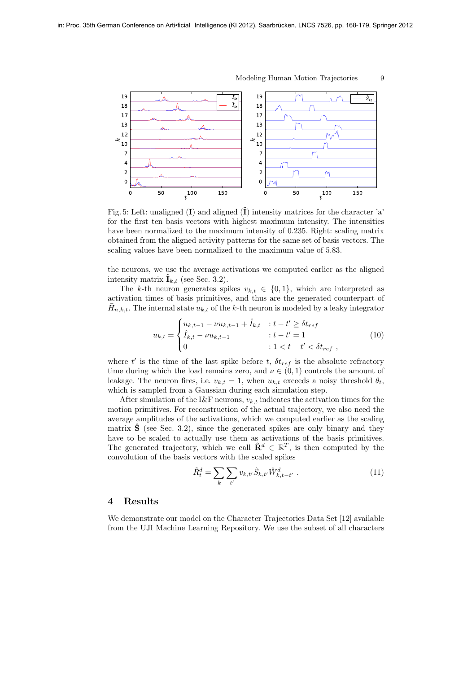

Fig. 5: Left: unaligned  $(I)$  and aligned  $(I)$  intensity matrices for the character 'a' for the first ten basis vectors with highest maximum intensity. The intensities have been normalized to the maximum intensity of 0.235. Right: scaling matrix obtained from the aligned activity patterns for the same set of basis vectors. The scaling values have been normalized to the maximum value of 5.83.

the neurons, we use the average activations we computed earlier as the aligned intensity matrix  $\mathbf{I}_{k,t}$  (see Sec. 3.2).

The k-th neuron generates spikes  $v_{k,t} \in \{0,1\}$ , which are interpreted as activation times of basis primitives, and thus are the generated counterpart of  $\bar{H}_{n,k,t}$ . The internal state  $u_{k,t}$  of the k-th neuron is modeled by a leaky integrator

$$
u_{k,t} = \begin{cases} u_{k,t-1} - \nu u_{k,t-1} + \hat{I}_{k,t} & : t - t' \ge \delta t_{ref} \\ \hat{I}_{k,t} - \nu u_{k,t-1} & : t - t' = 1 \\ 0 & : 1 < t - t' < \delta t_{ref} \end{cases} \tag{10}
$$

where  $t'$  is the time of the last spike before t,  $\delta t_{ref}$  is the absolute refractory time during which the load remains zero, and  $\nu \in (0,1)$  controls the amount of leakage. The neuron fires, i.e.  $v_{k,t} = 1$ , when  $u_{k,t}$  exceeds a noisy threshold  $\theta_t$ , which is sampled from a Gaussian during each simulation step.

After simulation of the I&F neurons,  $v_{k,t}$  indicates the activation times for the motion primitives. For reconstruction of the actual trajectory, we also need the average amplitudes of the activations, which we computed earlier as the scaling matrix  $\hat{\mathbf{S}}$  (see Sec. 3.2), since the generated spikes are only binary and they have to be scaled to actually use them as activations of the basis primitives. The generated trajectory, which we call  $\tilde{\mathbf{R}}^d \in \mathbb{R}^T$ , is then computed by the convolution of the basis vectors with the scaled spikes

$$
\tilde{R}_t^d = \sum_k \sum_{t'} v_{k,t'} \hat{S}_{k,t'} \hat{W}_{k,t-t'}^d . \tag{11}
$$

## 4 Results

We demonstrate our model on the Character Trajectories Data Set [12] available from the UJI Machine Learning Repository. We use the subset of all characters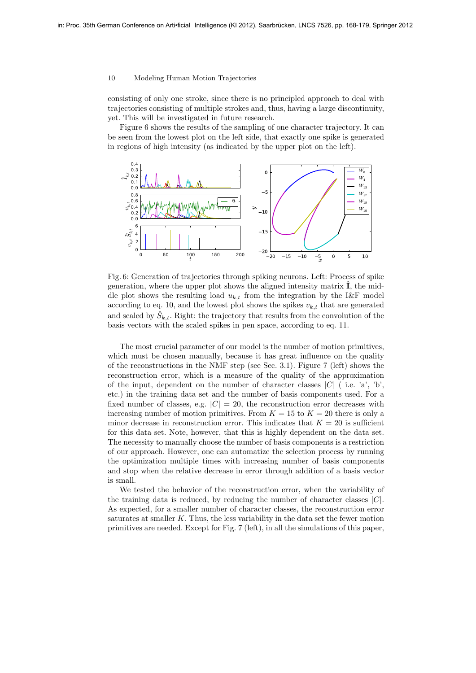consisting of only one stroke, since there is no principled approach to deal with trajectories consisting of multiple strokes and, thus, having a large discontinuity, yet. This will be investigated in future research.

Figure 6 shows the results of the sampling of one character trajectory. It can be seen from the lowest plot on the left side, that exactly one spike is generated in regions of high intensity (as indicated by the upper plot on the left).



Fig. 6: Generation of trajectories through spiking neurons. Left: Process of spike generation, where the upper plot shows the aligned intensity matrix  $I$ , the middle plot shows the resulting load  $u_{k,t}$  from the integration by the I&F model according to eq. 10, and the lowest plot shows the spikes  $v_{k,t}$  that are generated and scaled by  $\hat{S}_{k,t}$ . Right: the trajectory that results from the convolution of the basis vectors with the scaled spikes in pen space, according to eq. 11.

The most crucial parameter of our model is the number of motion primitives, which must be chosen manually, because it has great influence on the quality of the reconstructions in the NMF step (see Sec. 3.1). Figure 7 (left) shows the reconstruction error, which is a measure of the quality of the approximation of the input, dependent on the number of character classes  $|C|$  (i.e. 'a', 'b', etc.) in the training data set and the number of basis components used. For a fixed number of classes, e.g.  $|C| = 20$ , the reconstruction error decreases with increasing number of motion primitives. From  $K = 15$  to  $K = 20$  there is only a minor decrease in reconstruction error. This indicates that  $K = 20$  is sufficient for this data set. Note, however, that this is highly dependent on the data set. The necessity to manually choose the number of basis components is a restriction of our approach. However, one can automatize the selection process by running the optimization multiple times with increasing number of basis components and stop when the relative decrease in error through addition of a basis vector is small.

We tested the behavior of the reconstruction error, when the variability of the training data is reduced, by reducing the number of character classes  $|C|$ . As expected, for a smaller number of character classes, the reconstruction error saturates at smaller  $K$ . Thus, the less variability in the data set the fewer motion primitives are needed. Except for Fig. 7 (left), in all the simulations of this paper,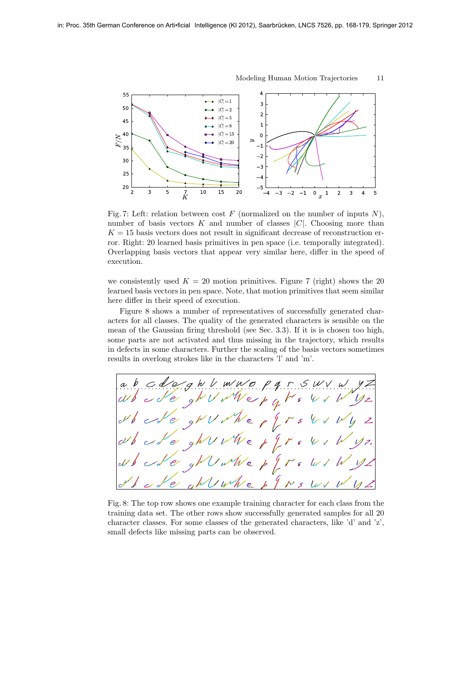

Fig. 7: Left: relation between cost  $F$  (normalized on the number of inputs  $N$ ), number of basis vectors  $K$  and number of classes  $|C|$ . Choosing more than  $K = 15$  basis vectors does not result in significant decrease of reconstruction error. Right: 20 learned basis primitives in pen space (i.e. temporally integrated). Overlapping basis vectors that appear very similar here, differ in the speed of execution.

we consistently used  $K = 20$  motion primitives. Figure 7 (right) shows the 20 learned basis vectors in pen space. Note, that motion primitives that seem similar here differ in their speed of execution.

Figure 8 shows a number of representatives of successfully generated characters for all classes. The quality of the generated characters is sensible on the mean of the Gaussian firing threshold (see Sec. 3.3). If it is is chosen too high, some parts are not activated and thus missing in the trajectory, which results in defects in some characters. Further the scaling of the basis vectors sometimes results in overlong strokes like in the characters 'l' and 'm'.

e g h l w w o p q r S W v w y Z<br>e g l V v W e p q l s V v V V y z e gw  $P^{\circ}$  $\overline{\mathcal{S}}$  $P$  $\mathcal{L}$  $\iota$  $\overline{c}$  $6945uvv$ 

Fig. 8: The top row shows one example training character for each class from the training data set. The other rows show successfully generated samples for all 20 character classes. For some classes of the generated characters, like 'd' and 'z', small defects like missing parts can be observed.